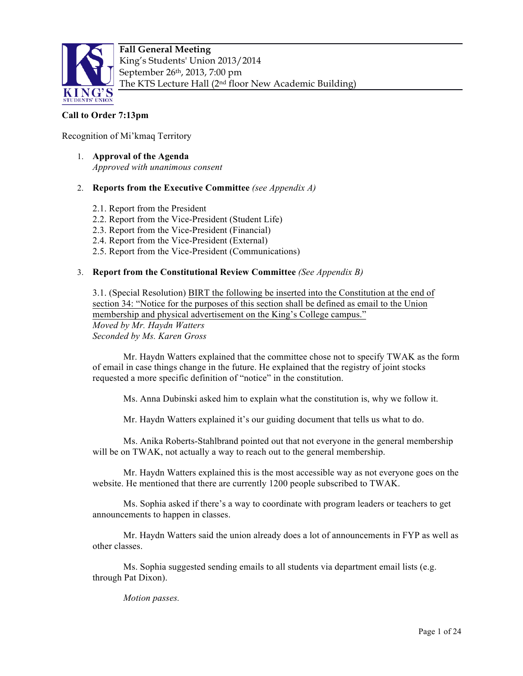

# **Call to Order 7:13pm**

Recognition of Mi'kmaq Territory

1. **Approval of the Agenda** *Approved with unanimous consent*

## 2. **Reports from the Executive Committee** *(see Appendix A)*

- 2.1. Report from the President
- 2.2. Report from the Vice-President (Student Life)
- 2.3. Report from the Vice-President (Financial)
- 2.4. Report from the Vice-President (External)
- 2.5. Report from the Vice-President (Communications)

## 3. **Report from the Constitutional Review Committee** *(See Appendix B)*

3.1. (Special Resolution) BIRT the following be inserted into the Constitution at the end of section 34: "Notice for the purposes of this section shall be defined as email to the Union membership and physical advertisement on the King's College campus." *Moved by Mr. Haydn Watters Seconded by Ms. Karen Gross*

Mr. Haydn Watters explained that the committee chose not to specify TWAK as the form of email in case things change in the future. He explained that the registry of joint stocks requested a more specific definition of "notice" in the constitution.

Ms. Anna Dubinski asked him to explain what the constitution is, why we follow it.

Mr. Haydn Watters explained it's our guiding document that tells us what to do.

Ms. Anika Roberts-Stahlbrand pointed out that not everyone in the general membership will be on TWAK, not actually a way to reach out to the general membership.

Mr. Haydn Watters explained this is the most accessible way as not everyone goes on the website. He mentioned that there are currently 1200 people subscribed to TWAK.

Ms. Sophia asked if there's a way to coordinate with program leaders or teachers to get announcements to happen in classes.

Mr. Haydn Watters said the union already does a lot of announcements in FYP as well as other classes.

Ms. Sophia suggested sending emails to all students via department email lists (e.g. through Pat Dixon).

*Motion passes.*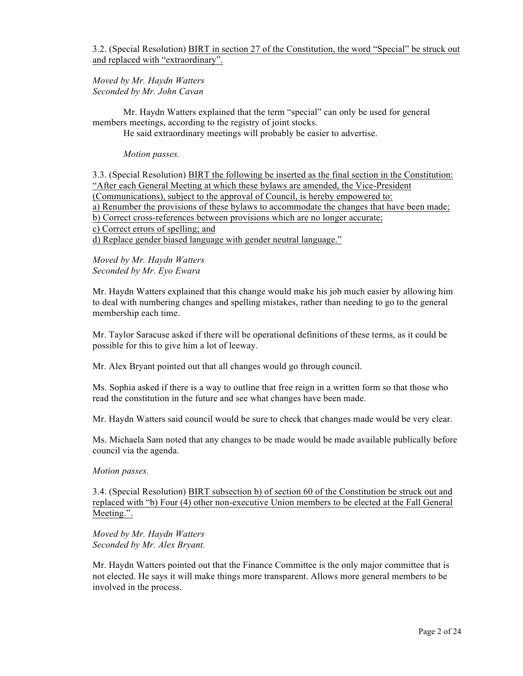3.2. (Special Resolution) BIRT in section 27 of the Constitution, the word "Special" be struck out and replaced with "extraordinary".

*Moved by Mr. Haydn Watters Seconded by Mr. John Cavan* 

Mr. Haydn Watters explained that the term "special" can only be used for general members meetings, according to the registry of joint stocks.

He said extraordinary meetings will probably be easier to advertise.

*Motion passes.* 

3.3. (Special Resolution) BIRT the following be inserted as the final section in the Constitution: "After each General Meeting at which these bylaws are amended, the Vice-President (Communications), subject to the approval of Council, is hereby empowered to: a) Renumber the provisions of these bylaws to accommodate the changes that have been made; b) Correct cross-references between provisions which are no longer accurate; c) Correct errors of spelling; and

d) Replace gender biased language with gender neutral language."

*Moved by Mr. Haydn Watters Seconded by Mr. Eyo Ewara*

Mr. Haydn Watters explained that this change would make his job much easier by allowing him to deal with numbering changes and spelling mistakes, rather than needing to go to the general membership each time.

Mr. Taylor Saracuse asked if there will be operational definitions of these terms, as it could be possible for this to give him a lot of leeway.

Mr. Alex Bryant pointed out that all changes would go through council.

Ms. Sophia asked if there is a way to outline that free reign in a written form so that those who read the constitution in the future and see what changes have been made.

Mr. Haydn Watters said council would be sure to check that changes made would be very clear.

Ms. Michaela Sam noted that any changes to be made would be made available publically before council via the agenda.

#### *Motion passes.*

3.4. (Special Resolution) BIRT subsection b) of section 60 of the Constitution be struck out and replaced with "b) Four (4) other non-executive Union members to be elected at the Fall General Meeting.".

*Moved by Mr. Haydn Watters Seconded by Mr. Alex Bryant.* 

Mr. Haydn Watters pointed out that the Finance Committee is the only major committee that is not elected. He says it will make things more transparent. Allows more general members to be involved in the process.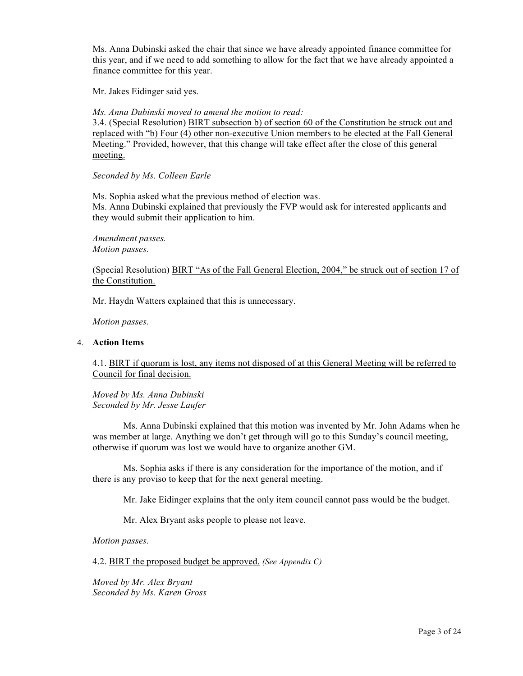Ms. Anna Dubinski asked the chair that since we have already appointed finance committee for this year, and if we need to add something to allow for the fact that we have already appointed a finance committee for this year.

Mr. Jakes Eidinger said yes.

*Ms. Anna Dubinski moved to amend the motion to read:*

3.4. (Special Resolution) BIRT subsection b) of section 60 of the Constitution be struck out and replaced with "b) Four (4) other non-executive Union members to be elected at the Fall General Meeting." Provided, however, that this change will take effect after the close of this general meeting.

*Seconded by Ms. Colleen Earle*

Ms. Sophia asked what the previous method of election was. Ms. Anna Dubinski explained that previously the FVP would ask for interested applicants and they would submit their application to him.

*Amendment passes. Motion passes.* 

(Special Resolution) BIRT "As of the Fall General Election, 2004," be struck out of section 17 of the Constitution.

Mr. Haydn Watters explained that this is unnecessary.

*Motion passes.* 

#### 4. **Action Items**

4.1. BIRT if quorum is lost, any items not disposed of at this General Meeting will be referred to Council for final decision.

*Moved by Ms. Anna Dubinski Seconded by Mr. Jesse Laufer*

Ms. Anna Dubinski explained that this motion was invented by Mr. John Adams when he was member at large. Anything we don't get through will go to this Sunday's council meeting, otherwise if quorum was lost we would have to organize another GM.

Ms. Sophia asks if there is any consideration for the importance of the motion, and if there is any proviso to keep that for the next general meeting.

Mr. Jake Eidinger explains that the only item council cannot pass would be the budget.

Mr. Alex Bryant asks people to please not leave.

*Motion passes.* 

4.2. BIRT the proposed budget be approved. *(See Appendix C)*

*Moved by Mr. Alex Bryant Seconded by Ms. Karen Gross*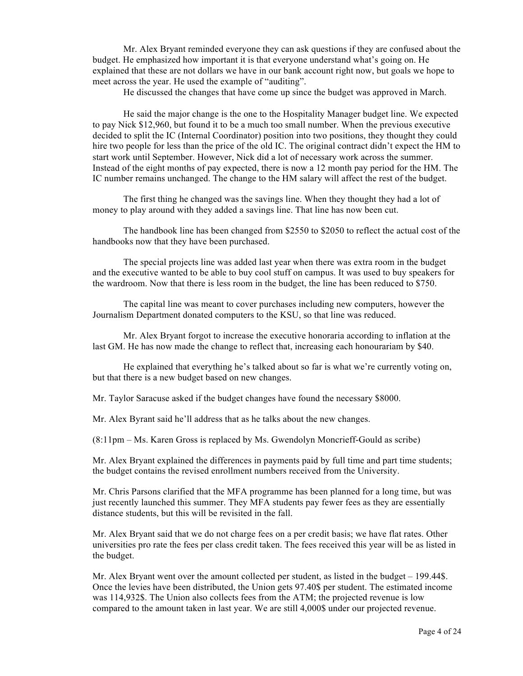Mr. Alex Bryant reminded everyone they can ask questions if they are confused about the budget. He emphasized how important it is that everyone understand what's going on. He explained that these are not dollars we have in our bank account right now, but goals we hope to meet across the year. He used the example of "auditing".

He discussed the changes that have come up since the budget was approved in March.

He said the major change is the one to the Hospitality Manager budget line. We expected to pay Nick \$12,960, but found it to be a much too small number. When the previous executive decided to split the IC (Internal Coordinator) position into two positions, they thought they could hire two people for less than the price of the old IC. The original contract didn't expect the HM to start work until September. However, Nick did a lot of necessary work across the summer. Instead of the eight months of pay expected, there is now a 12 month pay period for the HM. The IC number remains unchanged. The change to the HM salary will affect the rest of the budget.

The first thing he changed was the savings line. When they thought they had a lot of money to play around with they added a savings line. That line has now been cut.

The handbook line has been changed from \$2550 to \$2050 to reflect the actual cost of the handbooks now that they have been purchased.

The special projects line was added last year when there was extra room in the budget and the executive wanted to be able to buy cool stuff on campus. It was used to buy speakers for the wardroom. Now that there is less room in the budget, the line has been reduced to \$750.

The capital line was meant to cover purchases including new computers, however the Journalism Department donated computers to the KSU, so that line was reduced.

Mr. Alex Bryant forgot to increase the executive honoraria according to inflation at the last GM. He has now made the change to reflect that, increasing each honourariam by \$40.

He explained that everything he's talked about so far is what we're currently voting on, but that there is a new budget based on new changes.

Mr. Taylor Saracuse asked if the budget changes have found the necessary \$8000.

Mr. Alex Byrant said he'll address that as he talks about the new changes.

(8:11pm – Ms. Karen Gross is replaced by Ms. Gwendolyn Moncrieff-Gould as scribe)

Mr. Alex Bryant explained the differences in payments paid by full time and part time students; the budget contains the revised enrollment numbers received from the University.

Mr. Chris Parsons clarified that the MFA programme has been planned for a long time, but was just recently launched this summer. They MFA students pay fewer fees as they are essentially distance students, but this will be revisited in the fall.

Mr. Alex Bryant said that we do not charge fees on a per credit basis; we have flat rates. Other universities pro rate the fees per class credit taken. The fees received this year will be as listed in the budget.

Mr. Alex Bryant went over the amount collected per student, as listed in the budget – 199.44\$. Once the levies have been distributed, the Union gets 97.40\$ per student. The estimated income was 114,932\$. The Union also collects fees from the ATM; the projected revenue is low compared to the amount taken in last year. We are still 4,000\$ under our projected revenue.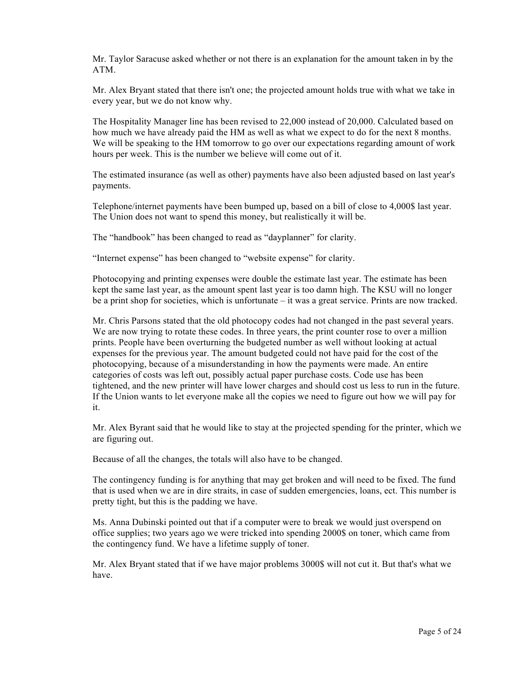Mr. Taylor Saracuse asked whether or not there is an explanation for the amount taken in by the ATM.

Mr. Alex Bryant stated that there isn't one; the projected amount holds true with what we take in every year, but we do not know why.

The Hospitality Manager line has been revised to 22,000 instead of 20,000. Calculated based on how much we have already paid the HM as well as what we expect to do for the next 8 months. We will be speaking to the HM tomorrow to go over our expectations regarding amount of work hours per week. This is the number we believe will come out of it.

The estimated insurance (as well as other) payments have also been adjusted based on last year's payments.

Telephone/internet payments have been bumped up, based on a bill of close to 4,000\$ last year. The Union does not want to spend this money, but realistically it will be.

The "handbook" has been changed to read as "dayplanner" for clarity.

"Internet expense" has been changed to "website expense" for clarity.

Photocopying and printing expenses were double the estimate last year. The estimate has been kept the same last year, as the amount spent last year is too damn high. The KSU will no longer be a print shop for societies, which is unfortunate – it was a great service. Prints are now tracked.

Mr. Chris Parsons stated that the old photocopy codes had not changed in the past several years. We are now trying to rotate these codes. In three years, the print counter rose to over a million prints. People have been overturning the budgeted number as well without looking at actual expenses for the previous year. The amount budgeted could not have paid for the cost of the photocopying, because of a misunderstanding in how the payments were made. An entire categories of costs was left out, possibly actual paper purchase costs. Code use has been tightened, and the new printer will have lower charges and should cost us less to run in the future. If the Union wants to let everyone make all the copies we need to figure out how we will pay for it.

Mr. Alex Byrant said that he would like to stay at the projected spending for the printer, which we are figuring out.

Because of all the changes, the totals will also have to be changed.

The contingency funding is for anything that may get broken and will need to be fixed. The fund that is used when we are in dire straits, in case of sudden emergencies, loans, ect. This number is pretty tight, but this is the padding we have.

Ms. Anna Dubinski pointed out that if a computer were to break we would just overspend on office supplies; two years ago we were tricked into spending 2000\$ on toner, which came from the contingency fund. We have a lifetime supply of toner.

Mr. Alex Bryant stated that if we have major problems 3000\$ will not cut it. But that's what we have.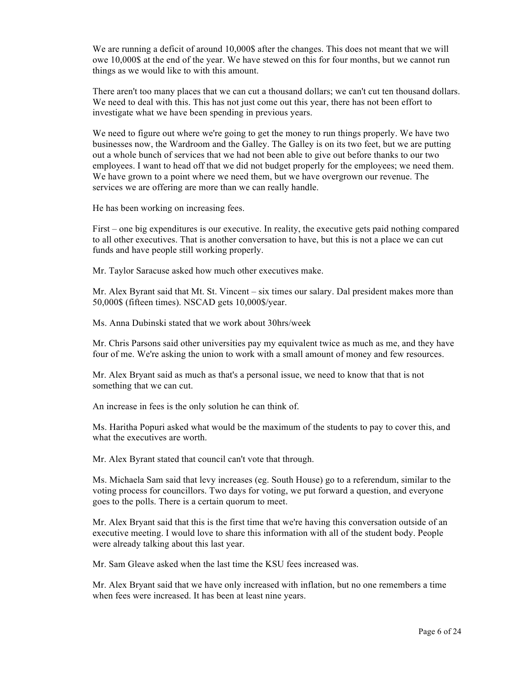We are running a deficit of around 10,000\$ after the changes. This does not meant that we will owe 10,000\$ at the end of the year. We have stewed on this for four months, but we cannot run things as we would like to with this amount.

There aren't too many places that we can cut a thousand dollars; we can't cut ten thousand dollars. We need to deal with this. This has not just come out this year, there has not been effort to investigate what we have been spending in previous years.

We need to figure out where we're going to get the money to run things properly. We have two businesses now, the Wardroom and the Galley. The Galley is on its two feet, but we are putting out a whole bunch of services that we had not been able to give out before thanks to our two employees. I want to head off that we did not budget properly for the employees; we need them. We have grown to a point where we need them, but we have overgrown our revenue. The services we are offering are more than we can really handle.

He has been working on increasing fees.

First – one big expenditures is our executive. In reality, the executive gets paid nothing compared to all other executives. That is another conversation to have, but this is not a place we can cut funds and have people still working properly.

Mr. Taylor Saracuse asked how much other executives make.

Mr. Alex Byrant said that Mt. St. Vincent – six times our salary. Dal president makes more than 50,000\$ (fifteen times). NSCAD gets 10,000\$/year.

Ms. Anna Dubinski stated that we work about 30hrs/week

Mr. Chris Parsons said other universities pay my equivalent twice as much as me, and they have four of me. We're asking the union to work with a small amount of money and few resources.

Mr. Alex Bryant said as much as that's a personal issue, we need to know that that is not something that we can cut.

An increase in fees is the only solution he can think of.

Ms. Haritha Popuri asked what would be the maximum of the students to pay to cover this, and what the executives are worth.

Mr. Alex Byrant stated that council can't vote that through.

Ms. Michaela Sam said that levy increases (eg. South House) go to a referendum, similar to the voting process for councillors. Two days for voting, we put forward a question, and everyone goes to the polls. There is a certain quorum to meet.

Mr. Alex Bryant said that this is the first time that we're having this conversation outside of an executive meeting. I would love to share this information with all of the student body. People were already talking about this last year.

Mr. Sam Gleave asked when the last time the KSU fees increased was.

Mr. Alex Bryant said that we have only increased with inflation, but no one remembers a time when fees were increased. It has been at least nine years.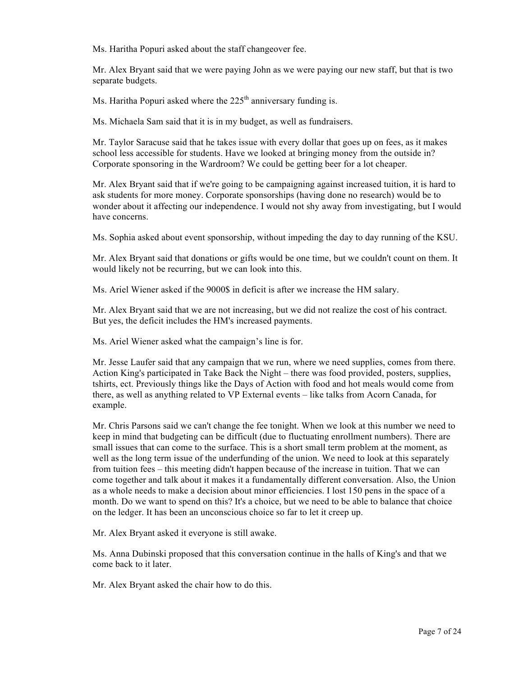Ms. Haritha Popuri asked about the staff changeover fee.

Mr. Alex Bryant said that we were paying John as we were paying our new staff, but that is two separate budgets.

Ms. Haritha Popuri asked where the  $225<sup>th</sup>$  anniversary funding is.

Ms. Michaela Sam said that it is in my budget, as well as fundraisers.

Mr. Taylor Saracuse said that he takes issue with every dollar that goes up on fees, as it makes school less accessible for students. Have we looked at bringing money from the outside in? Corporate sponsoring in the Wardroom? We could be getting beer for a lot cheaper.

Mr. Alex Bryant said that if we're going to be campaigning against increased tuition, it is hard to ask students for more money. Corporate sponsorships (having done no research) would be to wonder about it affecting our independence. I would not shy away from investigating, but I would have concerns.

Ms. Sophia asked about event sponsorship, without impeding the day to day running of the KSU.

Mr. Alex Bryant said that donations or gifts would be one time, but we couldn't count on them. It would likely not be recurring, but we can look into this.

Ms. Ariel Wiener asked if the 9000\$ in deficit is after we increase the HM salary.

Mr. Alex Bryant said that we are not increasing, but we did not realize the cost of his contract. But yes, the deficit includes the HM's increased payments.

Ms. Ariel Wiener asked what the campaign's line is for.

Mr. Jesse Laufer said that any campaign that we run, where we need supplies, comes from there. Action King's participated in Take Back the Night – there was food provided, posters, supplies, tshirts, ect. Previously things like the Days of Action with food and hot meals would come from there, as well as anything related to VP External events – like talks from Acorn Canada, for example.

Mr. Chris Parsons said we can't change the fee tonight. When we look at this number we need to keep in mind that budgeting can be difficult (due to fluctuating enrollment numbers). There are small issues that can come to the surface. This is a short small term problem at the moment, as well as the long term issue of the underfunding of the union. We need to look at this separately from tuition fees – this meeting didn't happen because of the increase in tuition. That we can come together and talk about it makes it a fundamentally different conversation. Also, the Union as a whole needs to make a decision about minor efficiencies. I lost 150 pens in the space of a month. Do we want to spend on this? It's a choice, but we need to be able to balance that choice on the ledger. It has been an unconscious choice so far to let it creep up.

Mr. Alex Bryant asked it everyone is still awake.

Ms. Anna Dubinski proposed that this conversation continue in the halls of King's and that we come back to it later.

Mr. Alex Bryant asked the chair how to do this.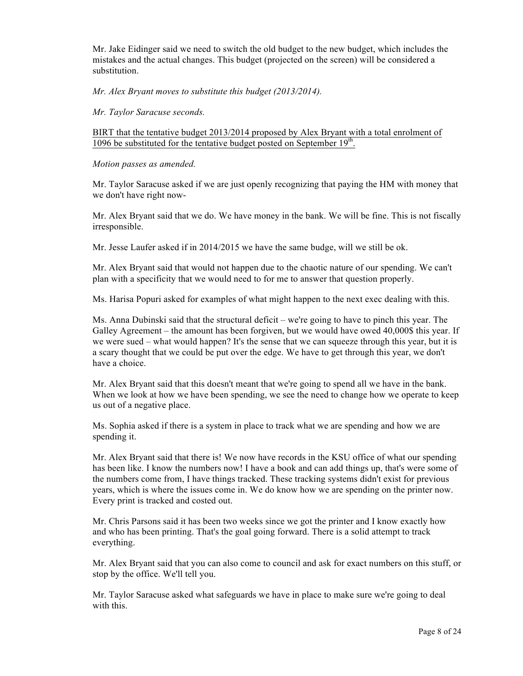Mr. Jake Eidinger said we need to switch the old budget to the new budget, which includes the mistakes and the actual changes. This budget (projected on the screen) will be considered a substitution.

*Mr. Alex Bryant moves to substitute this budget (2013/2014).*

*Mr. Taylor Saracuse seconds.*

BIRT that the tentative budget 2013/2014 proposed by Alex Bryant with a total enrolment of 1096 be substituted for the tentative budget posted on September 19<sup>th</sup>.

*Motion passes as amended.*

Mr. Taylor Saracuse asked if we are just openly recognizing that paying the HM with money that we don't have right now-

Mr. Alex Bryant said that we do. We have money in the bank. We will be fine. This is not fiscally irresponsible.

Mr. Jesse Laufer asked if in 2014/2015 we have the same budge, will we still be ok.

Mr. Alex Bryant said that would not happen due to the chaotic nature of our spending. We can't plan with a specificity that we would need to for me to answer that question properly.

Ms. Harisa Popuri asked for examples of what might happen to the next exec dealing with this.

Ms. Anna Dubinski said that the structural deficit – we're going to have to pinch this year. The Galley Agreement – the amount has been forgiven, but we would have owed 40,000\$ this year. If we were sued – what would happen? It's the sense that we can squeeze through this year, but it is a scary thought that we could be put over the edge. We have to get through this year, we don't have a choice.

Mr. Alex Bryant said that this doesn't meant that we're going to spend all we have in the bank. When we look at how we have been spending, we see the need to change how we operate to keep us out of a negative place.

Ms. Sophia asked if there is a system in place to track what we are spending and how we are spending it.

Mr. Alex Bryant said that there is! We now have records in the KSU office of what our spending has been like. I know the numbers now! I have a book and can add things up, that's were some of the numbers come from, I have things tracked. These tracking systems didn't exist for previous years, which is where the issues come in. We do know how we are spending on the printer now. Every print is tracked and costed out.

Mr. Chris Parsons said it has been two weeks since we got the printer and I know exactly how and who has been printing. That's the goal going forward. There is a solid attempt to track everything.

Mr. Alex Bryant said that you can also come to council and ask for exact numbers on this stuff, or stop by the office. We'll tell you.

Mr. Taylor Saracuse asked what safeguards we have in place to make sure we're going to deal with this.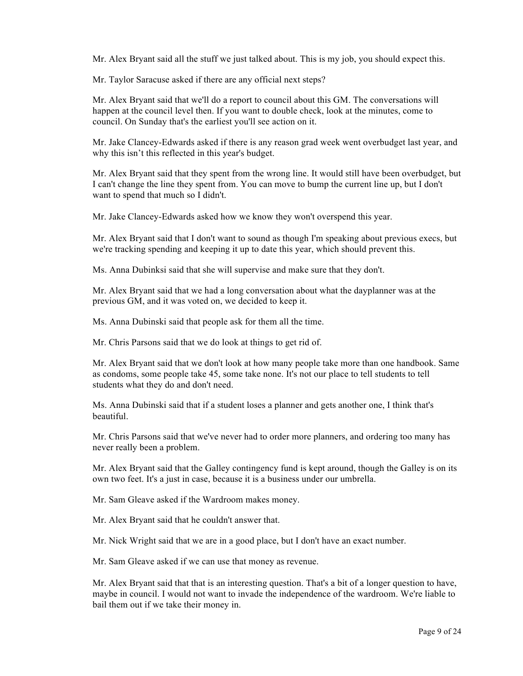Mr. Alex Bryant said all the stuff we just talked about. This is my job, you should expect this.

Mr. Taylor Saracuse asked if there are any official next steps?

Mr. Alex Bryant said that we'll do a report to council about this GM. The conversations will happen at the council level then. If you want to double check, look at the minutes, come to council. On Sunday that's the earliest you'll see action on it.

Mr. Jake Clancey-Edwards asked if there is any reason grad week went overbudget last year, and why this isn't this reflected in this year's budget.

Mr. Alex Bryant said that they spent from the wrong line. It would still have been overbudget, but I can't change the line they spent from. You can move to bump the current line up, but I don't want to spend that much so I didn't.

Mr. Jake Clancey-Edwards asked how we know they won't overspend this year.

Mr. Alex Bryant said that I don't want to sound as though I'm speaking about previous execs, but we're tracking spending and keeping it up to date this year, which should prevent this.

Ms. Anna Dubinksi said that she will supervise and make sure that they don't.

Mr. Alex Bryant said that we had a long conversation about what the dayplanner was at the previous GM, and it was voted on, we decided to keep it.

Ms. Anna Dubinski said that people ask for them all the time.

Mr. Chris Parsons said that we do look at things to get rid of.

Mr. Alex Bryant said that we don't look at how many people take more than one handbook. Same as condoms, some people take 45, some take none. It's not our place to tell students to tell students what they do and don't need.

Ms. Anna Dubinski said that if a student loses a planner and gets another one, I think that's beautiful.

Mr. Chris Parsons said that we've never had to order more planners, and ordering too many has never really been a problem.

Mr. Alex Bryant said that the Galley contingency fund is kept around, though the Galley is on its own two feet. It's a just in case, because it is a business under our umbrella.

Mr. Sam Gleave asked if the Wardroom makes money.

Mr. Alex Bryant said that he couldn't answer that.

Mr. Nick Wright said that we are in a good place, but I don't have an exact number.

Mr. Sam Gleave asked if we can use that money as revenue.

Mr. Alex Bryant said that that is an interesting question. That's a bit of a longer question to have, maybe in council. I would not want to invade the independence of the wardroom. We're liable to bail them out if we take their money in.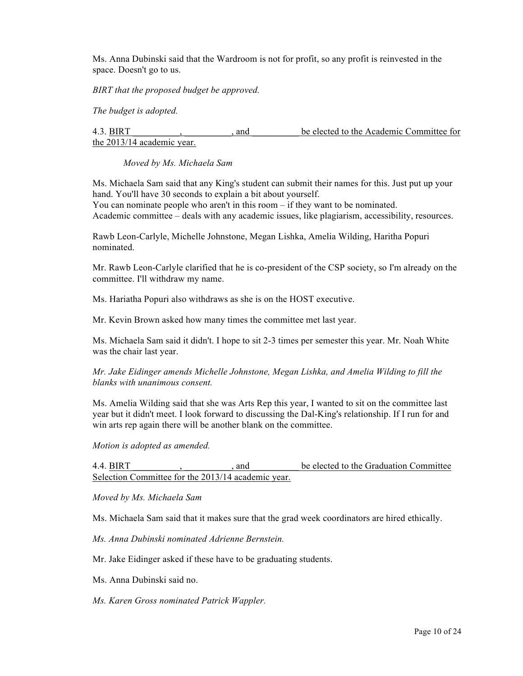Ms. Anna Dubinski said that the Wardroom is not for profit, so any profit is reinvested in the space. Doesn't go to us.

*BIRT that the proposed budget be approved.*

*The budget is adopted.*

4.3. BIRT \_\_\_\_\_\_\_\_\_\_, \_\_\_\_\_\_\_\_\_\_, and \_\_\_\_\_\_\_\_\_\_ be elected to the Academic Committee for the 2013/14 academic year.

*Moved by Ms. Michaela Sam*

Ms. Michaela Sam said that any King's student can submit their names for this. Just put up your hand. You'll have 30 seconds to explain a bit about yourself. You can nominate people who aren't in this room – if they want to be nominated.

Academic committee – deals with any academic issues, like plagiarism, accessibility, resources.

Rawb Leon-Carlyle, Michelle Johnstone, Megan Lishka, Amelia Wilding, Haritha Popuri nominated.

Mr. Rawb Leon-Carlyle clarified that he is co-president of the CSP society, so I'm already on the committee. I'll withdraw my name.

Ms. Hariatha Popuri also withdraws as she is on the HOST executive.

Mr. Kevin Brown asked how many times the committee met last year.

Ms. Michaela Sam said it didn't. I hope to sit 2-3 times per semester this year. Mr. Noah White was the chair last year.

*Mr. Jake Eidinger amends Michelle Johnstone, Megan Lishka, and Amelia Wilding to fill the blanks with unanimous consent.*

Ms. Amelia Wilding said that she was Arts Rep this year, I wanted to sit on the committee last year but it didn't meet. I look forward to discussing the Dal-King's relationship. If I run for and win arts rep again there will be another blank on the committee.

*Motion is adopted as amended.*

4.4. BIRT \_\_\_\_\_\_\_\_\_\_, \_\_\_\_\_\_\_\_\_\_, and \_\_\_\_\_\_\_\_\_\_ be elected to the Graduation Committee Selection Committee for the 2013/14 academic year.

*Moved by Ms. Michaela Sam*

Ms. Michaela Sam said that it makes sure that the grad week coordinators are hired ethically.

*Ms. Anna Dubinski nominated Adrienne Bernstein.*

Mr. Jake Eidinger asked if these have to be graduating students.

Ms. Anna Dubinski said no.

*Ms. Karen Gross nominated Patrick Wappler.*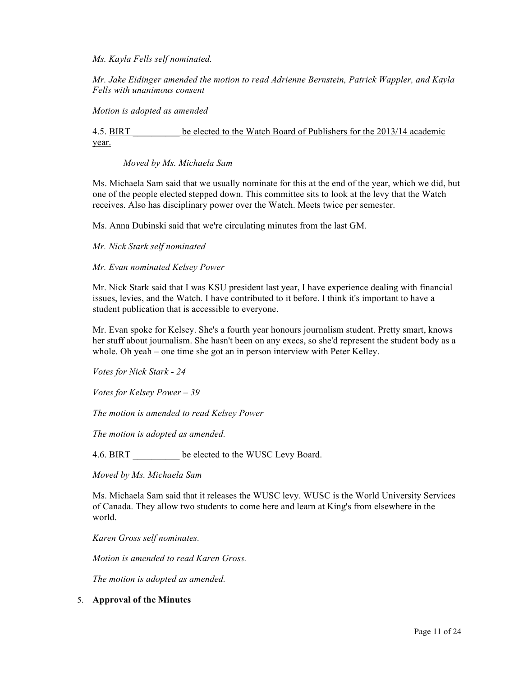*Ms. Kayla Fells self nominated.*

*Mr. Jake Eidinger amended the motion to read Adrienne Bernstein, Patrick Wappler, and Kayla Fells with unanimous consent*

*Motion is adopted as amended*

4.5. BIRT \_\_\_\_\_\_\_\_\_\_ be elected to the Watch Board of Publishers for the 2013/14 academic year.

*Moved by Ms. Michaela Sam*

Ms. Michaela Sam said that we usually nominate for this at the end of the year, which we did, but one of the people elected stepped down. This committee sits to look at the levy that the Watch receives. Also has disciplinary power over the Watch. Meets twice per semester.

Ms. Anna Dubinski said that we're circulating minutes from the last GM.

*Mr. Nick Stark self nominated*

*Mr. Evan nominated Kelsey Power*

Mr. Nick Stark said that I was KSU president last year, I have experience dealing with financial issues, levies, and the Watch. I have contributed to it before. I think it's important to have a student publication that is accessible to everyone.

Mr. Evan spoke for Kelsey. She's a fourth year honours journalism student. Pretty smart, knows her stuff about journalism. She hasn't been on any execs, so she'd represent the student body as a whole. Oh yeah – one time she got an in person interview with Peter Kelley.

*Votes for Nick Stark - 24*

*Votes for Kelsey Power – 39*

*The motion is amended to read Kelsey Power*

*The motion is adopted as amended.* 

4.6. BIRT be elected to the WUSC Levy Board.

*Moved by Ms. Michaela Sam* 

Ms. Michaela Sam said that it releases the WUSC levy. WUSC is the World University Services of Canada. They allow two students to come here and learn at King's from elsewhere in the world.

*Karen Gross self nominates.*

*Motion is amended to read Karen Gross.*

*The motion is adopted as amended.*

#### 5. **Approval of the Minutes**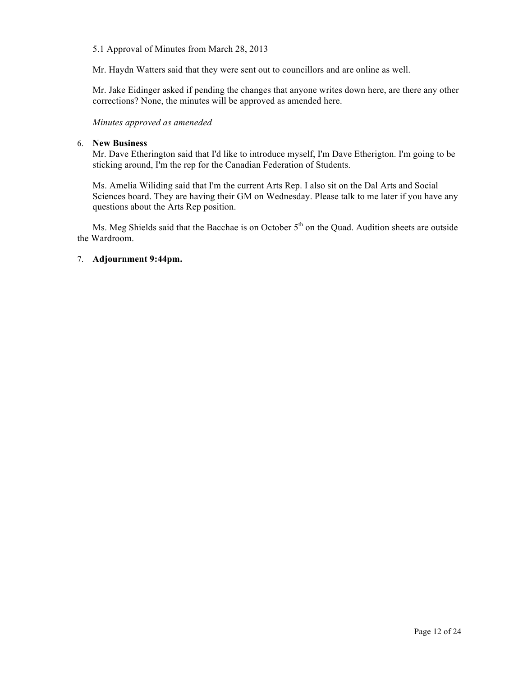#### 5.1 Approval of Minutes from March 28, 2013

Mr. Haydn Watters said that they were sent out to councillors and are online as well.

Mr. Jake Eidinger asked if pending the changes that anyone writes down here, are there any other corrections? None, the minutes will be approved as amended here.

*Minutes approved as ameneded*

#### 6. **New Business**

Mr. Dave Etherington said that I'd like to introduce myself, I'm Dave Etherigton. I'm going to be sticking around, I'm the rep for the Canadian Federation of Students.

Ms. Amelia Wiliding said that I'm the current Arts Rep. I also sit on the Dal Arts and Social Sciences board. They are having their GM on Wednesday. Please talk to me later if you have any questions about the Arts Rep position.

Ms. Meg Shields said that the Bacchae is on October  $5<sup>th</sup>$  on the Quad. Audition sheets are outside the Wardroom.

# 7. **Adjournment 9:44pm.**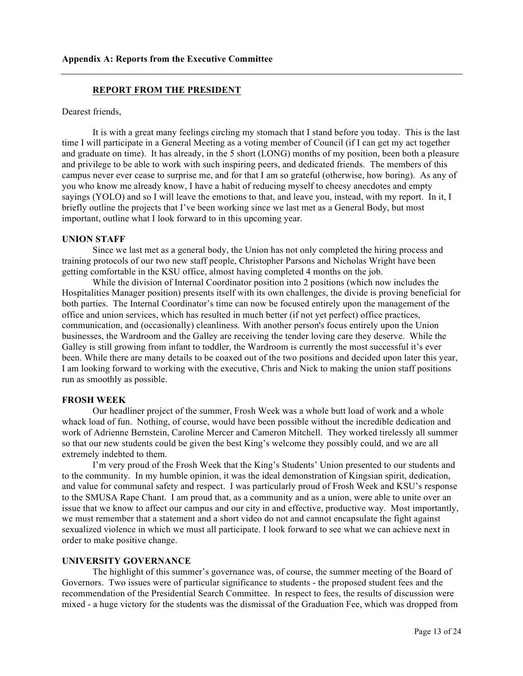#### **REPORT FROM THE PRESIDENT**

Dearest friends,

It is with a great many feelings circling my stomach that I stand before you today. This is the last time I will participate in a General Meeting as a voting member of Council (if I can get my act together and graduate on time). It has already, in the 5 short (LONG) months of my position, been both a pleasure and privilege to be able to work with such inspiring peers, and dedicated friends. The members of this campus never ever cease to surprise me, and for that I am so grateful (otherwise, how boring). As any of you who know me already know, I have a habit of reducing myself to cheesy anecdotes and empty sayings (YOLO) and so I will leave the emotions to that, and leave you, instead, with my report. In it, I briefly outline the projects that I've been working since we last met as a General Body, but most important, outline what I look forward to in this upcoming year.

#### **UNION STAFF**

Since we last met as a general body, the Union has not only completed the hiring process and training protocols of our two new staff people, Christopher Parsons and Nicholas Wright have been getting comfortable in the KSU office, almost having completed 4 months on the job.

While the division of Internal Coordinator position into 2 positions (which now includes the Hospitalities Manager position) presents itself with its own challenges, the divide is proving beneficial for both parties. The Internal Coordinator's time can now be focused entirely upon the management of the office and union services, which has resulted in much better (if not yet perfect) office practices, communication, and (occasionally) cleanliness. With another person's focus entirely upon the Union businesses, the Wardroom and the Galley are receiving the tender loving care they deserve. While the Galley is still growing from infant to toddler, the Wardroom is currently the most successful it's ever been. While there are many details to be coaxed out of the two positions and decided upon later this year, I am looking forward to working with the executive, Chris and Nick to making the union staff positions run as smoothly as possible.

#### **FROSH WEEK**

Our headliner project of the summer, Frosh Week was a whole butt load of work and a whole whack load of fun. Nothing, of course, would have been possible without the incredible dedication and work of Adrienne Bernstein, Caroline Mercer and Cameron Mitchell. They worked tirelessly all summer so that our new students could be given the best King's welcome they possibly could, and we are all extremely indebted to them.

I'm very proud of the Frosh Week that the King's Students' Union presented to our students and to the community. In my humble opinion, it was the ideal demonstration of Kingsian spirit, dedication, and value for communal safety and respect. I was particularly proud of Frosh Week and KSU's response to the SMUSA Rape Chant. I am proud that, as a community and as a union, were able to unite over an issue that we know to affect our campus and our city in and effective, productive way. Most importantly, we must remember that a statement and a short video do not and cannot encapsulate the fight against sexualized violence in which we must all participate. I look forward to see what we can achieve next in order to make positive change.

#### **UNIVERSITY GOVERNANCE**

The highlight of this summer's governance was, of course, the summer meeting of the Board of Governors. Two issues were of particular significance to students - the proposed student fees and the recommendation of the Presidential Search Committee. In respect to fees, the results of discussion were mixed - a huge victory for the students was the dismissal of the Graduation Fee, which was dropped from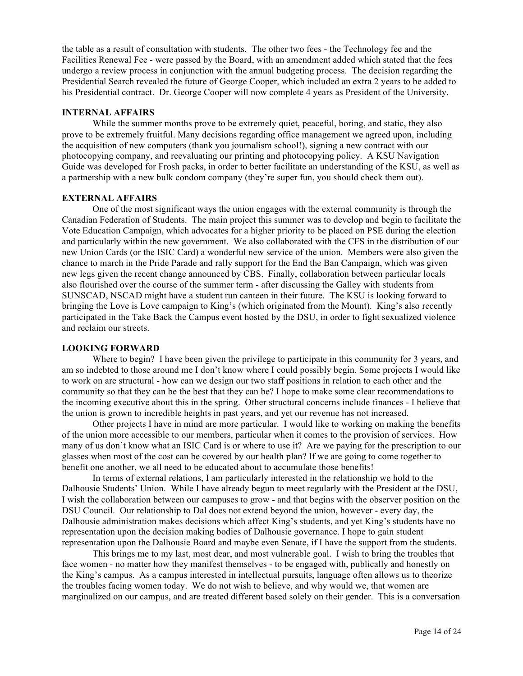the table as a result of consultation with students. The other two fees - the Technology fee and the Facilities Renewal Fee - were passed by the Board, with an amendment added which stated that the fees undergo a review process in conjunction with the annual budgeting process. The decision regarding the Presidential Search revealed the future of George Cooper, which included an extra 2 years to be added to his Presidential contract. Dr. George Cooper will now complete 4 years as President of the University.

#### **INTERNAL AFFAIRS**

While the summer months prove to be extremely quiet, peaceful, boring, and static, they also prove to be extremely fruitful. Many decisions regarding office management we agreed upon, including the acquisition of new computers (thank you journalism school!), signing a new contract with our photocopying company, and reevaluating our printing and photocopying policy. A KSU Navigation Guide was developed for Frosh packs, in order to better facilitate an understanding of the KSU, as well as a partnership with a new bulk condom company (they're super fun, you should check them out).

#### **EXTERNAL AFFAIRS**

One of the most significant ways the union engages with the external community is through the Canadian Federation of Students. The main project this summer was to develop and begin to facilitate the Vote Education Campaign, which advocates for a higher priority to be placed on PSE during the election and particularly within the new government. We also collaborated with the CFS in the distribution of our new Union Cards (or the ISIC Card) a wonderful new service of the union. Members were also given the chance to march in the Pride Parade and rally support for the End the Ban Campaign, which was given new legs given the recent change announced by CBS. Finally, collaboration between particular locals also flourished over the course of the summer term - after discussing the Galley with students from SUNSCAD, NSCAD might have a student run canteen in their future. The KSU is looking forward to bringing the Love is Love campaign to King's (which originated from the Mount). King's also recently participated in the Take Back the Campus event hosted by the DSU, in order to fight sexualized violence and reclaim our streets.

#### **LOOKING FORWARD**

Where to begin? I have been given the privilege to participate in this community for 3 years, and am so indebted to those around me I don't know where I could possibly begin. Some projects I would like to work on are structural - how can we design our two staff positions in relation to each other and the community so that they can be the best that they can be? I hope to make some clear recommendations to the incoming executive about this in the spring. Other structural concerns include finances - I believe that the union is grown to incredible heights in past years, and yet our revenue has not increased.

Other projects I have in mind are more particular. I would like to working on making the benefits of the union more accessible to our members, particular when it comes to the provision of services. How many of us don't know what an ISIC Card is or where to use it? Are we paying for the prescription to our glasses when most of the cost can be covered by our health plan? If we are going to come together to benefit one another, we all need to be educated about to accumulate those benefits!

In terms of external relations, I am particularly interested in the relationship we hold to the Dalhousie Students' Union. While I have already begun to meet regularly with the President at the DSU, I wish the collaboration between our campuses to grow - and that begins with the observer position on the DSU Council. Our relationship to Dal does not extend beyond the union, however - every day, the Dalhousie administration makes decisions which affect King's students, and yet King's students have no representation upon the decision making bodies of Dalhousie governance. I hope to gain student representation upon the Dalhousie Board and maybe even Senate, if I have the support from the students.

This brings me to my last, most dear, and most vulnerable goal. I wish to bring the troubles that face women - no matter how they manifest themselves - to be engaged with, publically and honestly on the King's campus. As a campus interested in intellectual pursuits, language often allows us to theorize the troubles facing women today. We do not wish to believe, and why would we, that women are marginalized on our campus, and are treated different based solely on their gender. This is a conversation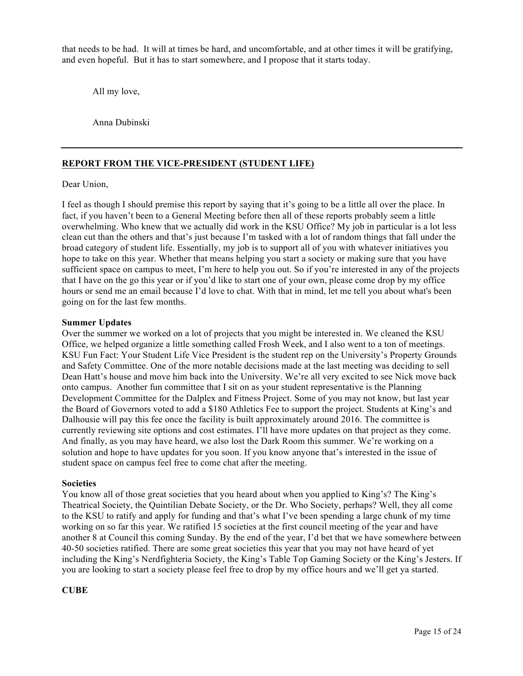that needs to be had. It will at times be hard, and uncomfortable, and at other times it will be gratifying, and even hopeful. But it has to start somewhere, and I propose that it starts today.

All my love,

Anna Dubinski

#### **REPORT FROM THE VICE-PRESIDENT (STUDENT LIFE)**

#### Dear Union,

I feel as though I should premise this report by saying that it's going to be a little all over the place. In fact, if you haven't been to a General Meeting before then all of these reports probably seem a little overwhelming. Who knew that we actually did work in the KSU Office? My job in particular is a lot less clean cut than the others and that's just because I'm tasked with a lot of random things that fall under the broad category of student life. Essentially, my job is to support all of you with whatever initiatives you hope to take on this year. Whether that means helping you start a society or making sure that you have sufficient space on campus to meet, I'm here to help you out. So if you're interested in any of the projects that I have on the go this year or if you'd like to start one of your own, please come drop by my office hours or send me an email because I'd love to chat. With that in mind, let me tell you about what's been going on for the last few months.

#### **Summer Updates**

Over the summer we worked on a lot of projects that you might be interested in. We cleaned the KSU Office, we helped organize a little something called Frosh Week, and I also went to a ton of meetings. KSU Fun Fact: Your Student Life Vice President is the student rep on the University's Property Grounds and Safety Committee. One of the more notable decisions made at the last meeting was deciding to sell Dean Hatt's house and move him back into the University. We're all very excited to see Nick move back onto campus. Another fun committee that I sit on as your student representative is the Planning Development Committee for the Dalplex and Fitness Project. Some of you may not know, but last year the Board of Governors voted to add a \$180 Athletics Fee to support the project. Students at King's and Dalhousie will pay this fee once the facility is built approximately around 2016. The committee is currently reviewing site options and cost estimates. I'll have more updates on that project as they come. And finally, as you may have heard, we also lost the Dark Room this summer. We're working on a solution and hope to have updates for you soon. If you know anyone that's interested in the issue of student space on campus feel free to come chat after the meeting.

#### **Societies**

You know all of those great societies that you heard about when you applied to King's? The King's Theatrical Society, the Quintilian Debate Society, or the Dr. Who Society, perhaps? Well, they all come to the KSU to ratify and apply for funding and that's what I've been spending a large chunk of my time working on so far this year. We ratified 15 societies at the first council meeting of the year and have another 8 at Council this coming Sunday. By the end of the year, I'd bet that we have somewhere between 40-50 societies ratified. There are some great societies this year that you may not have heard of yet including the King's Nerdfighteria Society, the King's Table Top Gaming Society or the King's Jesters. If you are looking to start a society please feel free to drop by my office hours and we'll get ya started.

#### **CUBE**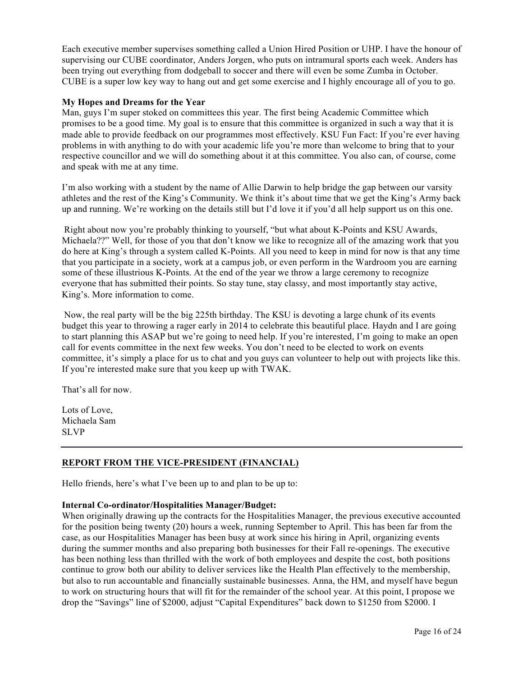Each executive member supervises something called a Union Hired Position or UHP. I have the honour of supervising our CUBE coordinator, Anders Jorgen, who puts on intramural sports each week. Anders has been trying out everything from dodgeball to soccer and there will even be some Zumba in October. CUBE is a super low key way to hang out and get some exercise and I highly encourage all of you to go.

#### **My Hopes and Dreams for the Year**

Man, guys I'm super stoked on committees this year. The first being Academic Committee which promises to be a good time. My goal is to ensure that this committee is organized in such a way that it is made able to provide feedback on our programmes most effectively. KSU Fun Fact: If you're ever having problems in with anything to do with your academic life you're more than welcome to bring that to your respective councillor and we will do something about it at this committee. You also can, of course, come and speak with me at any time.

I'm also working with a student by the name of Allie Darwin to help bridge the gap between our varsity athletes and the rest of the King's Community. We think it's about time that we get the King's Army back up and running. We're working on the details still but I'd love it if you'd all help support us on this one.

Right about now you're probably thinking to yourself, "but what about K-Points and KSU Awards, Michaela??" Well, for those of you that don't know we like to recognize all of the amazing work that you do here at King's through a system called K-Points. All you need to keep in mind for now is that any time that you participate in a society, work at a campus job, or even perform in the Wardroom you are earning some of these illustrious K-Points. At the end of the year we throw a large ceremony to recognize everyone that has submitted their points. So stay tune, stay classy, and most importantly stay active, King's. More information to come.

Now, the real party will be the big 225th birthday. The KSU is devoting a large chunk of its events budget this year to throwing a rager early in 2014 to celebrate this beautiful place. Haydn and I are going to start planning this ASAP but we're going to need help. If you're interested, I'm going to make an open call for events committee in the next few weeks. You don't need to be elected to work on events committee, it's simply a place for us to chat and you guys can volunteer to help out with projects like this. If you're interested make sure that you keep up with TWAK.

That's all for now.

Lots of Love, Michaela Sam SLVP

## **REPORT FROM THE VICE-PRESIDENT (FINANCIAL)**

Hello friends, here's what I've been up to and plan to be up to:

#### **Internal Co-ordinator/Hospitalities Manager/Budget:**

When originally drawing up the contracts for the Hospitalities Manager, the previous executive accounted for the position being twenty (20) hours a week, running September to April. This has been far from the case, as our Hospitalities Manager has been busy at work since his hiring in April, organizing events during the summer months and also preparing both businesses for their Fall re-openings. The executive has been nothing less than thrilled with the work of both employees and despite the cost, both positions continue to grow both our ability to deliver services like the Health Plan effectively to the membership, but also to run accountable and financially sustainable businesses. Anna, the HM, and myself have begun to work on structuring hours that will fit for the remainder of the school year. At this point, I propose we drop the "Savings" line of \$2000, adjust "Capital Expenditures" back down to \$1250 from \$2000. I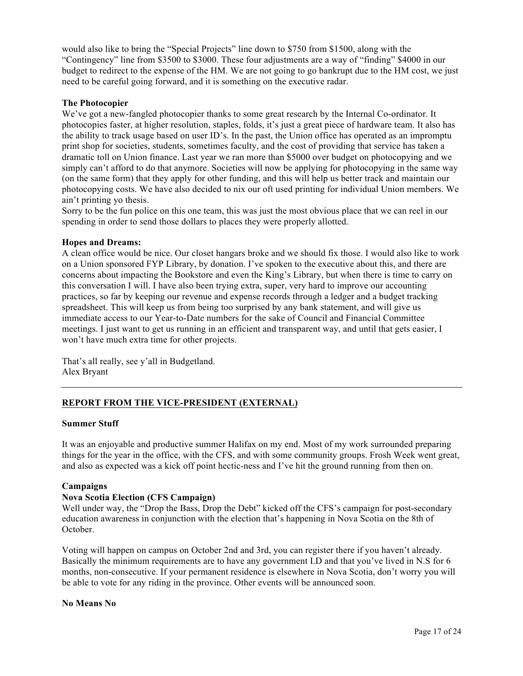would also like to bring the "Special Projects" line down to \$750 from \$1500, along with the "Contingency" line from \$3500 to \$3000. These four adjustments are a way of "finding" \$4000 in our budget to redirect to the expense of the HM. We are not going to go bankrupt due to the HM cost, we just need to be careful going forward, and it is something on the executive radar.

#### **The Photocopier**

We've got a new-fangled photocopier thanks to some great research by the Internal Co-ordinator. It photocopies faster, at higher resolution, staples, folds, it's just a great piece of hardware team. It also has the ability to track usage based on user ID's. In the past, the Union office has operated as an impromptu print shop for societies, students, sometimes faculty, and the cost of providing that service has taken a dramatic toll on Union finance. Last year we ran more than \$5000 over budget on photocopying and we simply can't afford to do that anymore. Societies will now be applying for photocopying in the same way (on the same form) that they apply for other funding, and this will help us better track and maintain our photocopying costs. We have also decided to nix our oft used printing for individual Union members. We ain't printing yo thesis.

Sorry to be the fun police on this one team, this was just the most obvious place that we can reel in our spending in order to send those dollars to places they were properly allotted.

#### **Hopes and Dreams:**

A clean office would be nice. Our closet hangars broke and we should fix those. I would also like to work on a Union sponsored FYP Library, by donation. I've spoken to the executive about this, and there are concerns about impacting the Bookstore and even the King's Library, but when there is time to carry on this conversation I will. I have also been trying extra, super, very hard to improve our accounting practices, so far by keeping our revenue and expense records through a ledger and a budget tracking spreadsheet. This will keep us from being too surprised by any bank statement, and will give us immediate access to our Year-to-Date numbers for the sake of Council and Financial Committee meetings. I just want to get us running in an efficient and transparent way, and until that gets easier, I won't have much extra time for other projects.

That's all really, see y'all in Budgetland. Alex Bryant

## **REPORT FROM THE VICE-PRESIDENT (EXTERNAL)**

#### **Summer Stuff**

It was an enjoyable and productive summer Halifax on my end. Most of my work surrounded preparing things for the year in the office, with the CFS, and with some community groups. Frosh Week went great, and also as expected was a kick off point hectic-ness and I've hit the ground running from then on.

#### **Campaigns**

## **Nova Scotia Election (CFS Campaign)**

Well under way, the "Drop the Bass, Drop the Debt" kicked off the CFS's campaign for post-secondary education awareness in conjunction with the election that's happening in Nova Scotia on the 8th of October.

Voting will happen on campus on October 2nd and 3rd, you can register there if you haven't already. Basically the minimum requirements are to have any government I.D and that you've lived in N.S for 6 months, non-consecutive. If your permanent residence is elsewhere in Nova Scotia, don't worry you will be able to vote for any riding in the province. Other events will be announced soon.

#### **No Means No**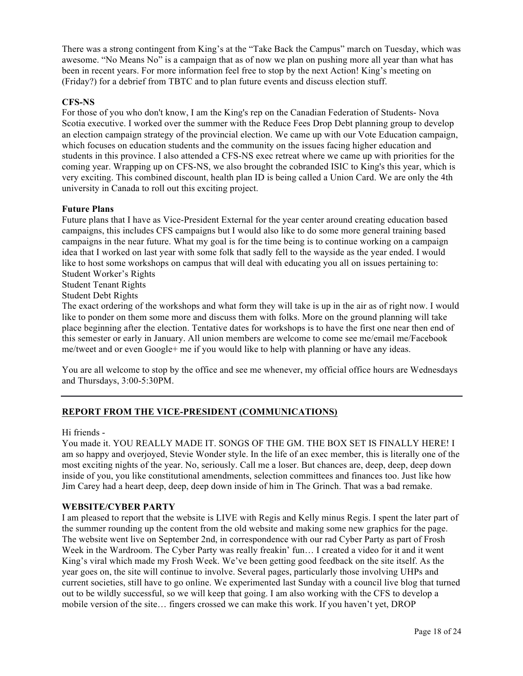There was a strong contingent from King's at the "Take Back the Campus" march on Tuesday, which was awesome. "No Means No" is a campaign that as of now we plan on pushing more all year than what has been in recent years. For more information feel free to stop by the next Action! King's meeting on (Friday?) for a debrief from TBTC and to plan future events and discuss election stuff.

#### **CFS-NS**

For those of you who don't know, I am the King's rep on the Canadian Federation of Students- Nova Scotia executive. I worked over the summer with the Reduce Fees Drop Debt planning group to develop an election campaign strategy of the provincial election. We came up with our Vote Education campaign, which focuses on education students and the community on the issues facing higher education and students in this province. I also attended a CFS-NS exec retreat where we came up with priorities for the coming year. Wrapping up on CFS-NS, we also brought the cobranded ISIC to King's this year, which is very exciting. This combined discount, health plan ID is being called a Union Card. We are only the 4th university in Canada to roll out this exciting project.

#### **Future Plans**

Future plans that I have as Vice-President External for the year center around creating education based campaigns, this includes CFS campaigns but I would also like to do some more general training based campaigns in the near future. What my goal is for the time being is to continue working on a campaign idea that I worked on last year with some folk that sadly fell to the wayside as the year ended. I would like to host some workshops on campus that will deal with educating you all on issues pertaining to: Student Worker's Rights

Student Tenant Rights

Student Debt Rights

The exact ordering of the workshops and what form they will take is up in the air as of right now. I would like to ponder on them some more and discuss them with folks. More on the ground planning will take place beginning after the election. Tentative dates for workshops is to have the first one near then end of this semester or early in January. All union members are welcome to come see me/email me/Facebook me/tweet and or even Google+ me if you would like to help with planning or have any ideas.

You are all welcome to stop by the office and see me whenever, my official office hours are Wednesdays and Thursdays, 3:00-5:30PM.

## **REPORT FROM THE VICE-PRESIDENT (COMMUNICATIONS)**

#### Hi friends -

You made it. YOU REALLY MADE IT. SONGS OF THE GM. THE BOX SET IS FINALLY HERE! I am so happy and overjoyed, Stevie Wonder style. In the life of an exec member, this is literally one of the most exciting nights of the year. No, seriously. Call me a loser. But chances are, deep, deep, deep down inside of you, you like constitutional amendments, selection committees and finances too. Just like how Jim Carey had a heart deep, deep, deep down inside of him in The Grinch. That was a bad remake.

#### **WEBSITE/CYBER PARTY**

I am pleased to report that the website is LIVE with Regis and Kelly minus Regis. I spent the later part of the summer rounding up the content from the old website and making some new graphics for the page. The website went live on September 2nd, in correspondence with our rad Cyber Party as part of Frosh Week in the Wardroom. The Cyber Party was really freakin' fun... I created a video for it and it went King's viral which made my Frosh Week. We've been getting good feedback on the site itself. As the year goes on, the site will continue to involve. Several pages, particularly those involving UHPs and current societies, still have to go online. We experimented last Sunday with a council live blog that turned out to be wildly successful, so we will keep that going. I am also working with the CFS to develop a mobile version of the site… fingers crossed we can make this work. If you haven't yet, DROP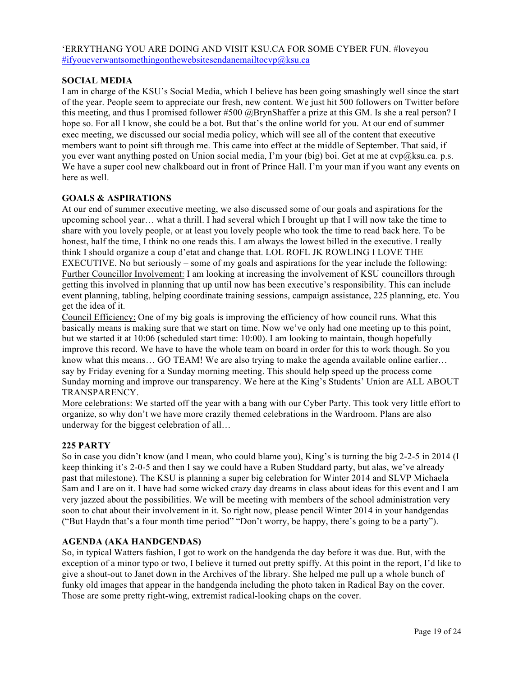'ERRYTHANG YOU ARE DOING AND VISIT KSU.CA FOR SOME CYBER FUN. #loveyou #ifyoueverwantsomethingonthewebsitesendanemailtocvp@ksu.ca

#### **SOCIAL MEDIA**

I am in charge of the KSU's Social Media, which I believe has been going smashingly well since the start of the year. People seem to appreciate our fresh, new content. We just hit 500 followers on Twitter before this meeting, and thus I promised follower #500 @BrynShaffer a prize at this GM. Is she a real person? I hope so. For all I know, she could be a bot. But that's the online world for you. At our end of summer exec meeting, we discussed our social media policy, which will see all of the content that executive members want to point sift through me. This came into effect at the middle of September. That said, if you ever want anything posted on Union social media, I'm your (big) boi. Get at me at cvp@ksu.ca. p.s. We have a super cool new chalkboard out in front of Prince Hall. I'm your man if you want any events on here as well.

#### **GOALS & ASPIRATIONS**

At our end of summer executive meeting, we also discussed some of our goals and aspirations for the upcoming school year… what a thrill. I had several which I brought up that I will now take the time to share with you lovely people, or at least you lovely people who took the time to read back here. To be honest, half the time, I think no one reads this. I am always the lowest billed in the executive. I really think I should organize a coup d'etat and change that. LOL ROFL JK ROWLING I LOVE THE EXECUTIVE. No but seriously – some of my goals and aspirations for the year include the following: Further Councillor Involvement: I am looking at increasing the involvement of KSU councillors through getting this involved in planning that up until now has been executive's responsibility. This can include event planning, tabling, helping coordinate training sessions, campaign assistance, 225 planning, etc. You get the idea of it.

Council Efficiency: One of my big goals is improving the efficiency of how council runs. What this basically means is making sure that we start on time. Now we've only had one meeting up to this point, but we started it at 10:06 (scheduled start time: 10:00). I am looking to maintain, though hopefully improve this record. We have to have the whole team on board in order for this to work though. So you know what this means… GO TEAM! We are also trying to make the agenda available online earlier… say by Friday evening for a Sunday morning meeting. This should help speed up the process come Sunday morning and improve our transparency. We here at the King's Students' Union are ALL ABOUT TRANSPARENCY.

More celebrations: We started off the year with a bang with our Cyber Party. This took very little effort to organize, so why don't we have more crazily themed celebrations in the Wardroom. Plans are also underway for the biggest celebration of all…

## **225 PARTY**

So in case you didn't know (and I mean, who could blame you), King's is turning the big 2-2-5 in 2014 (I keep thinking it's 2-0-5 and then I say we could have a Ruben Studdard party, but alas, we've already past that milestone). The KSU is planning a super big celebration for Winter 2014 and SLVP Michaela Sam and I are on it. I have had some wicked crazy day dreams in class about ideas for this event and I am very jazzed about the possibilities. We will be meeting with members of the school administration very soon to chat about their involvement in it. So right now, please pencil Winter 2014 in your handgendas ("But Haydn that's a four month time period" "Don't worry, be happy, there's going to be a party").

## **AGENDA (AKA HANDGENDAS)**

So, in typical Watters fashion, I got to work on the handgenda the day before it was due. But, with the exception of a minor typo or two, I believe it turned out pretty spiffy. At this point in the report, I'd like to give a shout-out to Janet down in the Archives of the library. She helped me pull up a whole bunch of funky old images that appear in the handgenda including the photo taken in Radical Bay on the cover. Those are some pretty right-wing, extremist radical-looking chaps on the cover.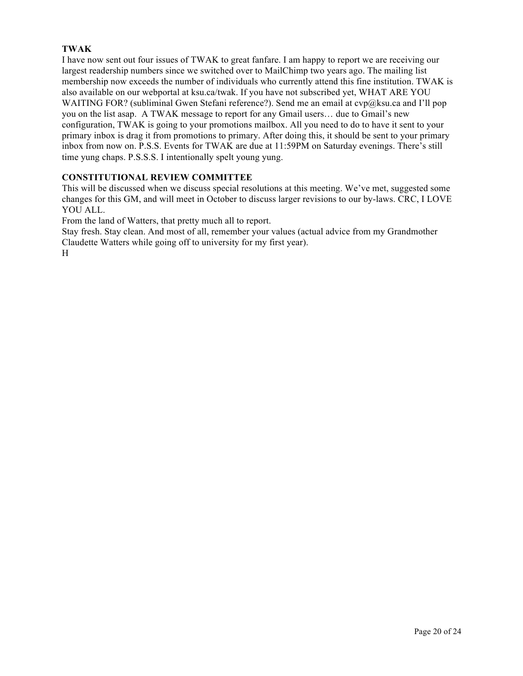# **TWAK**

I have now sent out four issues of TWAK to great fanfare. I am happy to report we are receiving our largest readership numbers since we switched over to MailChimp two years ago. The mailing list membership now exceeds the number of individuals who currently attend this fine institution. TWAK is also available on our webportal at ksu.ca/twak. If you have not subscribed yet, WHAT ARE YOU WAITING FOR? (subliminal Gwen Stefani reference?). Send me an email at  $\exp(a\&s$ u.ca and I'll pop you on the list asap. A TWAK message to report for any Gmail users… due to Gmail's new configuration, TWAK is going to your promotions mailbox. All you need to do to have it sent to your primary inbox is drag it from promotions to primary. After doing this, it should be sent to your primary inbox from now on. P.S.S. Events for TWAK are due at 11:59PM on Saturday evenings. There's still time yung chaps. P.S.S.S. I intentionally spelt young yung.

## **CONSTITUTIONAL REVIEW COMMITTEE**

This will be discussed when we discuss special resolutions at this meeting. We've met, suggested some changes for this GM, and will meet in October to discuss larger revisions to our by-laws. CRC, I LOVE YOU ALL.

From the land of Watters, that pretty much all to report.

Stay fresh. Stay clean. And most of all, remember your values (actual advice from my Grandmother Claudette Watters while going off to university for my first year).

H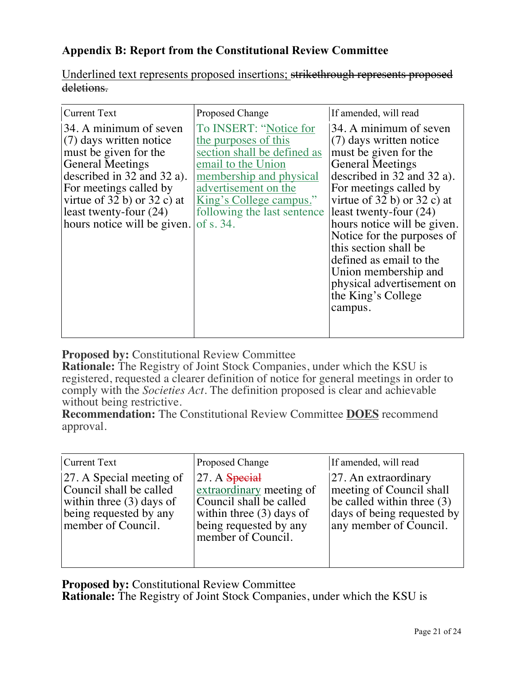# **Appendix B: Report from the Constitutional Review Committee**

Underlined text represents proposed insertions; strikethrough represents proposed deletions.

| <b>Current Text</b>                                                                                                                                                                                                                                               | Proposed Change                                                                                                                                                                                                               | If amended, will read                                                                                                                                                                                                                                                                                                                                                                                                        |
|-------------------------------------------------------------------------------------------------------------------------------------------------------------------------------------------------------------------------------------------------------------------|-------------------------------------------------------------------------------------------------------------------------------------------------------------------------------------------------------------------------------|------------------------------------------------------------------------------------------------------------------------------------------------------------------------------------------------------------------------------------------------------------------------------------------------------------------------------------------------------------------------------------------------------------------------------|
| 34. A minimum of seven<br>(7) days written notice<br>must be given for the<br><b>General Meetings</b><br>described in $32$ and $32$ a).<br>For meetings called by<br>virtue of $32 b$ ) or $32 c$ ) at<br>least twenty-four $(24)$<br>hours notice will be given. | To INSERT: "Notice for<br>the purposes of this<br>section shall be defined as<br>email to the Union<br>membership and physical<br>advertisement on the<br>King's College campus."<br>following the last sentence<br>of s. 34. | 34. A minimum of seven<br>(7) days written notice<br>must be given for the<br><b>General Meetings</b><br>described in $32$ and $32$ a).<br>For meetings called by<br>virtue of $32$ b) or $32$ c) at<br>least twenty-four $(24)$<br>hours notice will be given.<br>Notice for the purposes of<br>this section shall be<br>defined as email to the<br>Union membership and<br>physical advertisement on<br>the King's College |
|                                                                                                                                                                                                                                                                   |                                                                                                                                                                                                                               | campus.                                                                                                                                                                                                                                                                                                                                                                                                                      |

**Proposed by:** Constitutional Review Committee

**Rationale:** The Registry of Joint Stock Companies, under which the KSU is registered, requested a clearer definition of notice for general meetings in order to comply with the *Societies Act*. The definition proposed is clear and achievable without being restrictive.

**Recommendation:** The Constitutional Review Committee **DOES** recommend approval.

| <b>Current Text</b>                                                                                                               | Proposed Change                                                                                                                                       | If amended, will read                                                                                                                    |
|-----------------------------------------------------------------------------------------------------------------------------------|-------------------------------------------------------------------------------------------------------------------------------------------------------|------------------------------------------------------------------------------------------------------------------------------------------|
| 27. A Special meeting of<br>Council shall be called<br>within three $(3)$ days of<br>being requested by any<br>member of Council. | $ 27. A$ Special<br>extraordinary meeting of<br>Council shall be called<br>within three $(3)$ days of<br>being requested by any<br>member of Council. | 27. An extraordinary<br>meeting of Council shall<br>be called within three $(3)$<br>days of being requested by<br>any member of Council. |

**Proposed by:** Constitutional Review Committee

**Rationale:** The Registry of Joint Stock Companies, under which the KSU is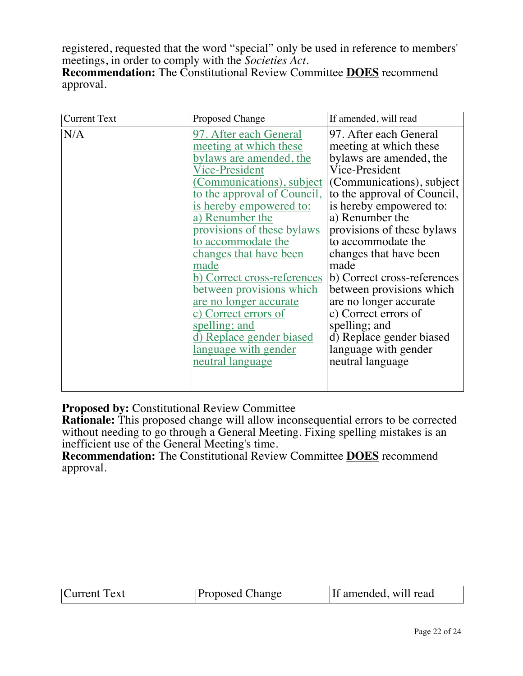registered, requested that the word "special" only be used in reference to members' meetings, in order to comply with the *Societies Act*. **Recommendation:** The Constitutional Review Committee **DOES** recommend approval.

| <b>Current Text</b> | <b>Proposed Change</b>                                                                                                                                                                                                                                                                                                                                                                                                                                                                                            | If amended, will read                                                                                                                                                                                                                                                                                                                                                                                                                                                                               |
|---------------------|-------------------------------------------------------------------------------------------------------------------------------------------------------------------------------------------------------------------------------------------------------------------------------------------------------------------------------------------------------------------------------------------------------------------------------------------------------------------------------------------------------------------|-----------------------------------------------------------------------------------------------------------------------------------------------------------------------------------------------------------------------------------------------------------------------------------------------------------------------------------------------------------------------------------------------------------------------------------------------------------------------------------------------------|
| N/A                 | 97. After each General<br>meeting at which these<br><u>bylaws are amended, the</u><br><b>Vice-President</b><br>(Communications), subject<br>to the approval of Council,<br>is hereby empowered to:<br>a) Renumber the<br>provisions of these bylaws<br>to accommodate the<br>changes that have been<br>made<br>b) Correct cross-references<br>between provisions which<br>are no longer accurate<br>c) Correct errors of<br>spelling; and<br>d) Replace gender biased<br>language with gender<br>neutral language | 97. After each General<br>meeting at which these<br>bylaws are amended, the<br>Vice-President<br>(Communications), subject<br>to the approval of Council,<br>is hereby empowered to:<br>a) Renumber the<br>provisions of these bylaws<br>to accommodate the<br>changes that have been<br>made<br>b) Correct cross-references<br>between provisions which<br>are no longer accurate<br>c) Correct errors of<br>spelling; and<br>d) Replace gender biased<br>language with gender<br>neutral language |

**Proposed by:** Constitutional Review Committee

**Rationale:** This proposed change will allow inconsequential errors to be corrected without needing to go through a General Meeting. Fixing spelling mistakes is an inefficient use of the General Meeting's time.

**Recommendation:** The Constitutional Review Committee **DOES** recommend approval.

| Current Text | <b>Proposed Change</b> | If amended, will read |
|--------------|------------------------|-----------------------|
|--------------|------------------------|-----------------------|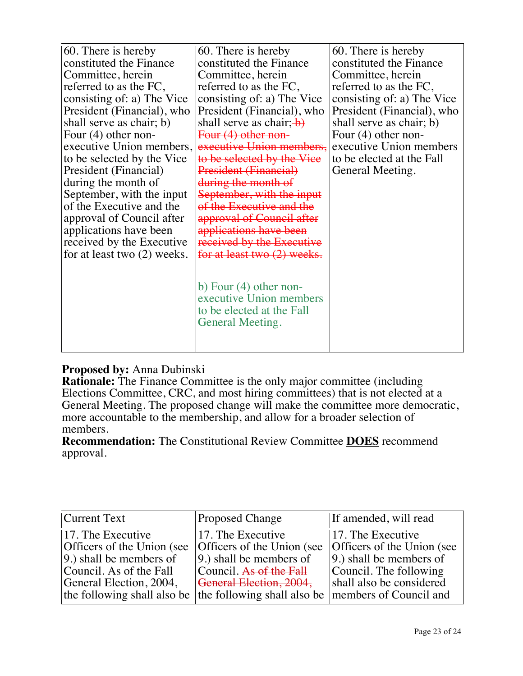| 60. There is hereby           | 60. There is hereby                                 | 60. There is hereby        |
|-------------------------------|-----------------------------------------------------|----------------------------|
| constituted the Finance       | constituted the Finance                             | constituted the Finance    |
| Committee, herein             | Committee, herein                                   | Committee, herein          |
| referred to as the FC,        | referred to as the FC,                              | referred to as the FC,     |
| consisting of: a) The Vice    | consisting of: a) The Vice                          | consisting of: a) The Vice |
| President (Financial), who    | President (Financial), who                          | President (Financial), who |
| shall serve as chair; b)      | shall serve as chair; $\rightarrow$                 | shall serve as chair; b)   |
| Four $(4)$ other non-         | Four (4) other non-                                 | Four $(4)$ other non-      |
| executive Union members,      | executive Union members,                            | executive Union members    |
| to be selected by the Vice    | to be selected by the Vice                          | to be elected at the Fall  |
| President (Financial)         | President (Financial)                               | General Meeting.           |
| during the month of           | during the month of                                 |                            |
| September, with the input     | September, with the input                           |                            |
| of the Executive and the      | of the Executive and the                            |                            |
| approval of Council after     | approval of Council after                           |                            |
| applications have been        | applications have been                              |                            |
| received by the Executive     | received by the Executive                           |                            |
| for at least two $(2)$ weeks. | for at least two (2) weeks.                         |                            |
|                               |                                                     |                            |
|                               |                                                     |                            |
|                               | b) Four $(4)$ other non-<br>executive Union members |                            |
|                               | to be elected at the Fall                           |                            |
|                               | General Meeting.                                    |                            |
|                               |                                                     |                            |
|                               |                                                     |                            |
|                               |                                                     |                            |

# **Proposed by:** Anna Dubinski

**Rationale:** The Finance Committee is the only major committee (including Elections Committee, CRC, and most hiring committees) that is not elected at a General Meeting. The proposed change will make the committee more democratic, more accountable to the membership, and allow for a broader selection of members.

**Recommendation:** The Constitutional Review Committee **DOES** recommend approval.

| Current Text                                                                                                                                                                                                       | <b>Proposed Change</b>                                                                                                               | If amended, will read                                                                                                                |
|--------------------------------------------------------------------------------------------------------------------------------------------------------------------------------------------------------------------|--------------------------------------------------------------------------------------------------------------------------------------|--------------------------------------------------------------------------------------------------------------------------------------|
| 17. The Executive<br>Officers of the Union (see<br>9.) shall be members of<br>Council. As of the Fall<br>General Election, 2004,<br>the following shall also be the following shall also be members of Council and | 17. The Executive<br>Officers of the Union (see<br>$ 9.$ ) shall be members of<br>Council. As of the Fall<br>General Election, 2004, | 17. The Executive<br>Officers of the Union (see<br>$ 9.$ ) shall be members of<br>Council. The following<br>shall also be considered |